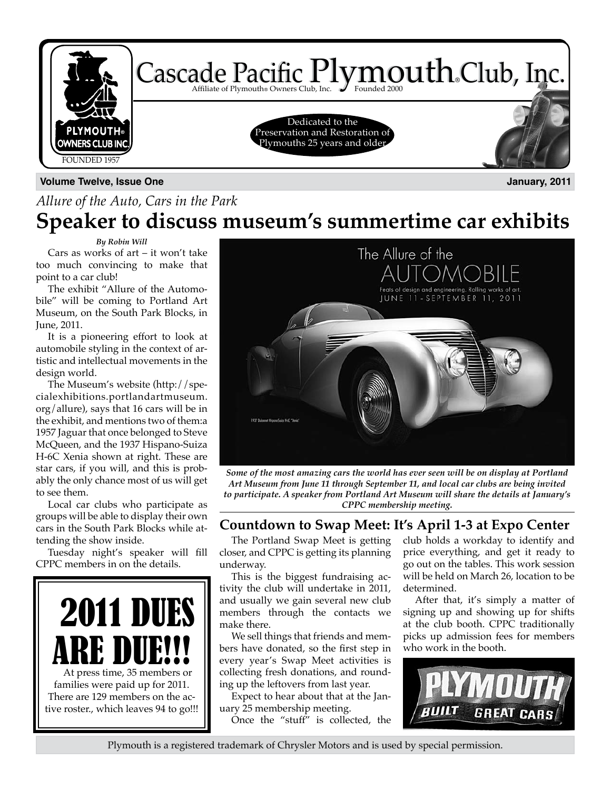

### **Volume Twelve, Issue One January, 2011**

### *Allure of the Auto, Cars in the Park* **Speaker to discuss museum's summertime car exhibits**

#### *By Robin Will*

Cars as works of art – it won't take too much convincing to make that point to a car club!

The exhibit "Allure of the Automobile" will be coming to Portland Art Museum, on the South Park Blocks, in June, 2011.

It is a pioneering effort to look at automobile styling in the context of artistic and intellectual movements in the design world.

The Museum's website (http://specialexhibitions.portlandartmuseum. org/allure), says that 16 cars will be in the exhibit, and mentions two of them:a 1957 Jaguar that once belonged to Steve McQueen, and the 1937 Hispano-Suiza H-6C Xenia shown at right. These are star cars, if you will, and this is probably the only chance most of us will get to see them.

Local car clubs who participate as groups will be able to display their own cars in the South Park Blocks while attending the show inside.

Tuesday night's speaker will fill CPPC members in on the details.





*Some of the most amazing cars the world has ever seen will be on display at Portland Art Museum from June 11 through September 11, and local car clubs are being invited to participate. A speaker from Portland Art Museum will share the details at January's CPPC membership meeting.*

### **Countdown to Swap Meet: It's April 1-3 at Expo Center**

The Portland Swap Meet is getting closer, and CPPC is getting its planning underway.

This is the biggest fundraising activity the club will undertake in 2011, and usually we gain several new club members through the contacts we make there.

We sell things that friends and members have donated, so the first step in every year's Swap Meet activities is collecting fresh donations, and rounding up the leftovers from last year.

Expect to hear about that at the January 25 membership meeting. Once the "stuff" is collected, the club holds a workday to identify and price everything, and get it ready to go out on the tables. This work session will be held on March 26, location to be determined.

After that, it's simply a matter of signing up and showing up for shifts at the club booth. CPPC traditionally picks up admission fees for members who work in the booth.



Plymouth is a registered trademark of Chrysler Motors and is used by special permission.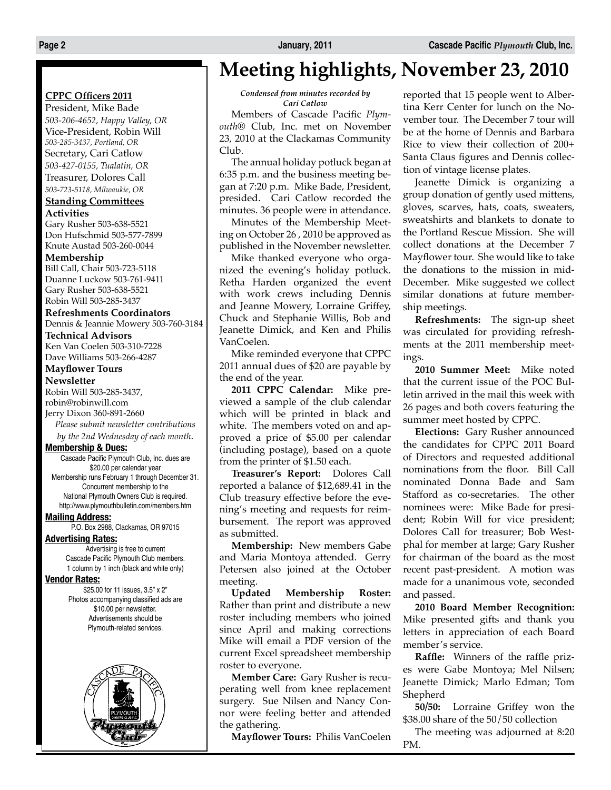### **CPPC Officers 2011**

President, Mike Bade *503-206-4652, Happy Valley, OR* Vice-President, Robin Will *503-285-3437, Portland, OR* Secretary, Cari Catlow *503-427-0155, Tualatin, OR*

### Treasurer, Dolores Call

*503-723-5118, Milwaukie, OR*

#### **Standing Committees Activities**

Gary Rusher 503-638-5521 Don Hufschmid 503-577-7899 Knute Austad 503-260-0044

#### **Membership**

Bill Call, Chair 503-723-5118 Duanne Luckow 503-761-9411 Gary Rusher 503-638-5521 Robin Will 503-285-3437

#### **Refreshments Coordinators**

Dennis & Jeannie Mowery 503-760-3184

**Technical Advisors** Ken Van Coelen 503-310-7228 Dave Williams 503-266-4287

### **Mayflower Tours**

**Newsletter**

Robin Will 503-285-3437, robin@robinwill.com Jerry Dixon 360-891-2660 *Please submit newsletter contributions*

*by the 2nd Wednesday of each month*.

#### **Membership & Dues:**

Cascade Pacific Plymouth Club, Inc. dues are \$20.00 per calendar year Membership runs February 1 through December 31. Concurrent membership to the National Plymouth Owners Club is required. http://www.plymouthbulletin.com/members.htm

#### **Mailing Address:**

P.O. Box 2988, Clackamas, OR 97015

#### **Advertising Rates:**

Advertising is free to current Cascade Pacific Plymouth Club members. 1 column by 1 inch (black and white only)

#### **Vendor Rates:**

\$25.00 for 11 issues, 3.5" x 2" Photos accompanying classified ads are \$10.00 per newsletter. Advertisements should be Plymouth-related services.



### **Meeting highlights, November 23, 2010**

*Condensed from minutes recorded by Cari Catlow*

Members of Cascade Pacific *Plymouth®* Club, Inc. met on November 23, 2010 at the Clackamas Community Club.

The annual holiday potluck began at 6:35 p.m. and the business meeting began at 7:20 p.m. Mike Bade, President, presided. Cari Catlow recorded the minutes. 36 people were in attendance.

Minutes of the Membership Meeting on October 26 , 2010 be approved as published in the November newsletter.

Mike thanked everyone who organized the evening's holiday potluck. Retha Harden organized the event with work crews including Dennis and Jeanne Mowery, Lorraine Griffey, Chuck and Stephanie Willis, Bob and Jeanette Dimick, and Ken and Philis VanCoelen.

Mike reminded everyone that CPPC 2011 annual dues of \$20 are payable by the end of the year.

**2011 CPPC Calendar:** Mike previewed a sample of the club calendar which will be printed in black and white. The members voted on and approved a price of \$5.00 per calendar (including postage), based on a quote from the printer of \$1.50 each.

**Treasurer's Report:** Dolores Call reported a balance of \$12,689.41 in the Club treasury effective before the evening's meeting and requests for reimbursement. The report was approved as submitted.

**Membership:** New members Gabe and Maria Montoya attended. Gerry Petersen also joined at the October meeting.

**Updated Membership Roster:** Rather than print and distribute a new roster including members who joined since April and making corrections Mike will email a PDF version of the current Excel spreadsheet membership roster to everyone.

**Member Care:** Gary Rusher is recuperating well from knee replacement surgery. Sue Nilsen and Nancy Connor were feeling better and attended the gathering.

**Mayflower Tours:** Philis VanCoelen

reported that 15 people went to Albertina Kerr Center for lunch on the November tour. The December 7 tour will be at the home of Dennis and Barbara Rice to view their collection of 200+ Santa Claus figures and Dennis collection of vintage license plates.

Jeanette Dimick is organizing a group donation of gently used mittens, gloves, scarves, hats, coats, sweaters, sweatshirts and blankets to donate to the Portland Rescue Mission. She will collect donations at the December 7 Mayflower tour. She would like to take the donations to the mission in mid-December. Mike suggested we collect similar donations at future membership meetings.

**Refreshments:** The sign-up sheet was circulated for providing refreshments at the 2011 membership meetings.

**2010 Summer Meet:** Mike noted that the current issue of the POC Bulletin arrived in the mail this week with 26 pages and both covers featuring the summer meet hosted by CPPC.

**Elections:** Gary Rusher announced the candidates for CPPC 2011 Board of Directors and requested additional nominations from the floor. Bill Call nominated Donna Bade and Sam Stafford as co-secretaries. The other nominees were: Mike Bade for president; Robin Will for vice president; Dolores Call for treasurer; Bob Westphal for member at large; Gary Rusher for chairman of the board as the most recent past-president. A motion was made for a unanimous vote, seconded and passed.

**2010 Board Member Recognition:** Mike presented gifts and thank you letters in appreciation of each Board member's service.

**Raffle:** Winners of the raffle prizes were Gabe Montoya; Mel Nilsen; Jeanette Dimick; Marlo Edman; Tom Shepherd

**50/50:** Lorraine Griffey won the \$38.00 share of the 50/50 collection

The meeting was adjourned at 8:20 PM.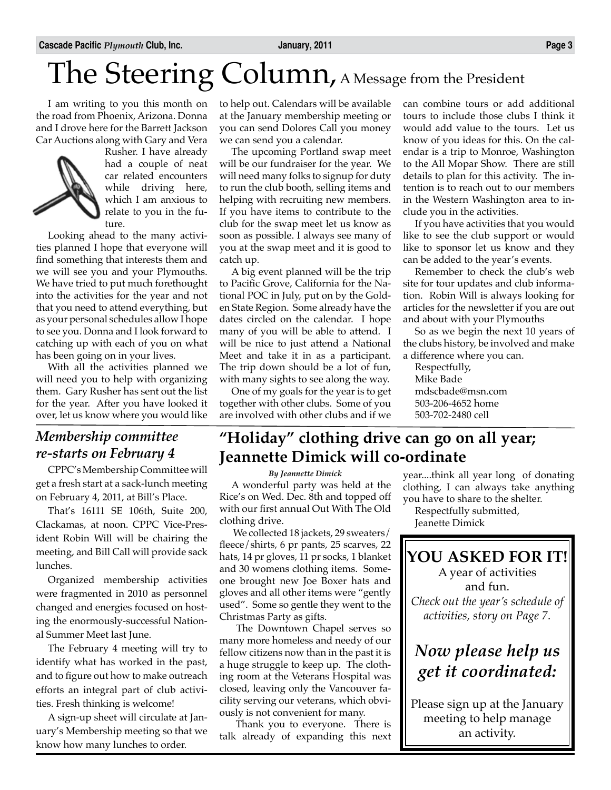## The Steering Column, A Message from the President

I am writing to you this month on the road from Phoenix, Arizona. Donna and I drove here for the Barrett Jackson Car Auctions along with Gary and Vera



Rusher. I have already had a couple of neat car related encounters while driving here, which I am anxious to relate to you in the future.

Looking ahead to the many activities planned I hope that everyone will find something that interests them and we will see you and your Plymouths. We have tried to put much forethought into the activities for the year and not that you need to attend everything, but as your personal schedules allow I hope to see you. Donna and I look forward to catching up with each of you on what has been going on in your lives.

With all the activities planned we will need you to help with organizing them. Gary Rusher has sent out the list for the year. After you have looked it over, let us know where you would like

### *Membership committee re-starts on February 4*

CPPC's Membership Committee will get a fresh start at a sack-lunch meeting on February 4, 2011, at Bill's Place.

That's 16111 SE 106th, Suite 200, Clackamas, at noon. CPPC Vice-President Robin Will will be chairing the meeting, and Bill Call will provide sack lunches.

Organized membership activities were fragmented in 2010 as personnel changed and energies focused on hosting the enormously-successful National Summer Meet last June.

The February 4 meeting will try to identify what has worked in the past, and to figure out how to make outreach efforts an integral part of club activities. Fresh thinking is welcome!

A sign-up sheet will circulate at January's Membership meeting so that we know how many lunches to order.

to help out. Calendars will be available at the January membership meeting or you can send Dolores Call you money we can send you a calendar.

The upcoming Portland swap meet will be our fundraiser for the year. We will need many folks to signup for duty to run the club booth, selling items and helping with recruiting new members. If you have items to contribute to the club for the swap meet let us know as soon as possible. I always see many of you at the swap meet and it is good to catch up.

A big event planned will be the trip to Pacific Grove, California for the National POC in July, put on by the Golden State Region. Some already have the dates circled on the calendar. I hope many of you will be able to attend. I will be nice to just attend a National Meet and take it in as a participant. The trip down should be a lot of fun, with many sights to see along the way.

One of my goals for the year is to get together with other clubs. Some of you are involved with other clubs and if we can combine tours or add additional tours to include those clubs I think it would add value to the tours. Let us know of you ideas for this. On the calendar is a trip to Monroe, Washington to the All Mopar Show. There are still details to plan for this activity. The intention is to reach out to our members in the Western Washington area to include you in the activities.

If you have activities that you would like to see the club support or would like to sponsor let us know and they can be added to the year's events.

Remember to check the club's web site for tour updates and club information. Robin Will is always looking for articles for the newsletter if you are out and about with your Plymouths

So as we begin the next 10 years of the clubs history, be involved and make a difference where you can.

Respectfully, Mike Bade mdscbade@msn.com 503-206-4652 home 503-702-2480 cell

### **"Holiday" clothing drive can go on all year; Jeannette Dimick will co-ordinate**

*By Jeannette Dimick*

A wonderful party was held at the Rice's on Wed. Dec. 8th and topped off with our first annual Out With The Old clothing drive.

We collected 18 jackets, 29 sweaters/ fleece/shirts, 6 pr pants, 25 scarves, 22 hats, 14 pr gloves, 11 pr socks, 1 blanket and 30 womens clothing items. Someone brought new Joe Boxer hats and gloves and all other items were "gently used". Some so gentle they went to the Christmas Party as gifts.

The Downtown Chapel serves so many more homeless and needy of our fellow citizens now than in the past it is a huge struggle to keep up. The clothing room at the Veterans Hospital was closed, leaving only the Vancouver facility serving our veterans, which obviously is not convenient for many.

Thank you to everyone. There is talk already of expanding this next year....think all year long of donating clothing, I can always take anything you have to share to the shelter.

Respectfully submitted, Jeanette Dimick

### **YOU ASKED FOR IT!**

A year of activities and fun. *Check out the year's schedule of activities, story on Page 7.*

### *Now please help us get it coordinated:*

Please sign up at the January meeting to help manage an activity.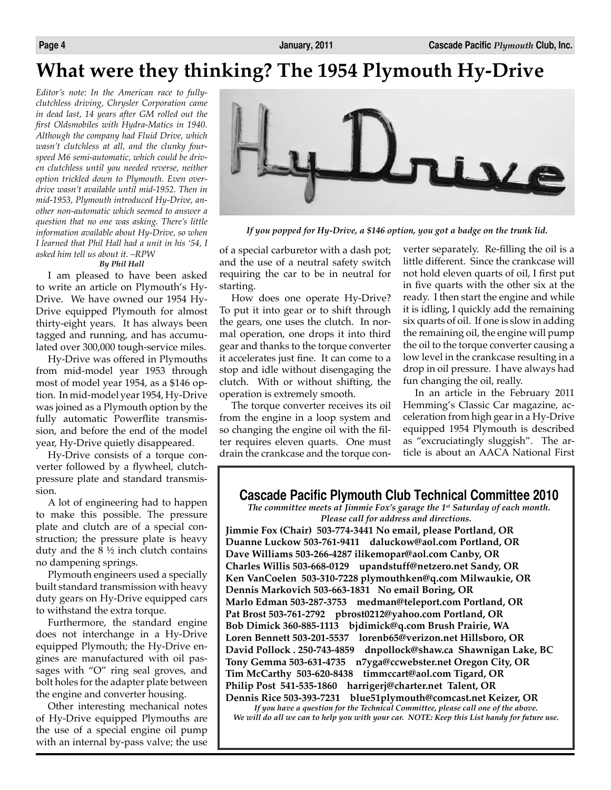### **What were they thinking? The 1954 Plymouth Hy-Drive**

*Editor's note: In the American race to fullyclutchless driving, Chrysler Corporation came in dead last, 14 years after GM rolled out the first Oldsmobiles with Hydra-Matics in 1940. Although the company had Fluid Drive, which wasn't clutchless at all, and the clunky fourspeed M6 semi-automatic, which could be driven clutchless until you needed reverse, neither option trickled down to Plymouth. Even overdrive wasn't available until mid-1952. Then in mid-1953, Plymouth introduced Hy-Drive, another non-automatic which seemed to answer a question that no one was asking. There's little information available about Hy-Drive, so when I learned that Phil Hall had a unit in his '54, I asked him tell us about it. –RPW*

#### *By Phil Hall*

I am pleased to have been asked to write an article on Plymouth's Hy-Drive. We have owned our 1954 Hy-Drive equipped Plymouth for almost thirty-eight years. It has always been tagged and running, and has accumulated over 300,000 tough-service miles.

Hy-Drive was offered in Plymouths from mid-model year 1953 through most of model year 1954, as a \$146 option. In mid-model year 1954, Hy-Drive was joined as a Plymouth option by the fully automatic Powerflite transmission, and before the end of the model year, Hy-Drive quietly disappeared.

Hy-Drive consists of a torque converter followed by a flywheel, clutchpressure plate and standard transmission.

A lot of engineering had to happen to make this possible. The pressure plate and clutch are of a special construction; the pressure plate is heavy duty and the 8 ½ inch clutch contains no dampening springs.

Plymouth engineers used a specially built standard transmission with heavy duty gears on Hy-Drive equipped cars to withstand the extra torque.

Furthermore, the standard engine does not interchange in a Hy-Drive equipped Plymouth; the Hy-Drive engines are manufactured with oil passages with "O" ring seal groves, and bolt holes for the adapter plate between the engine and converter housing.

Other interesting mechanical notes of Hy-Drive equipped Plymouths are the use of a special engine oil pump with an internal by-pass valve; the use



*If you popped for Hy-Drive, a \$146 option, you got a badge on the trunk lid.*

of a special carburetor with a dash pot; and the use of a neutral safety switch requiring the car to be in neutral for starting.

How does one operate Hy-Drive? To put it into gear or to shift through the gears, one uses the clutch. In normal operation, one drops it into third gear and thanks to the torque converter it accelerates just fine. It can come to a stop and idle without disengaging the clutch. With or without shifting, the operation is extremely smooth.

The torque converter receives its oil from the engine in a loop system and so changing the engine oil with the filter requires eleven quarts. One must drain the crankcase and the torque converter separately. Re-filling the oil is a little different. Since the crankcase will not hold eleven quarts of oil, I first put in five quarts with the other six at the ready. I then start the engine and while it is idling, I quickly add the remaining six quarts of oil. If one is slow in adding the remaining oil, the engine will pump the oil to the torque converter causing a low level in the crankcase resulting in a drop in oil pressure. I have always had fun changing the oil, really.

In an article in the February 2011 Hemming's Classic Car magazine, acceleration from high gear in a Hy-Drive equipped 1954 Plymouth is described as "excruciatingly sluggish". The article is about an AACA National First

#### **Cascade Pacific Plymouth Club Technical Committee 2010**

*The committee meets at Jimmie Fox's garage the 1st Saturday of each month. Please call for address and directions.*

**Jimmie Fox (Chair) 503-774-3441 No email, please Portland, OR Duanne Luckow 503-761-9411 daluckow@aol.com Portland, OR Dave Williams 503-266-4287 ilikemopar@aol.com Canby, OR Charles Willis 503-668-0129 upandstuff@netzero.net Sandy, OR Ken VanCoelen 503-310-7228 plymouthken@q.com Milwaukie, OR Dennis Markovich 503-663-1831 No email Boring, OR Marlo Edman 503-287-3753 medman@teleport.com Portland, OR Pat Brost 503-761-2792 pbrost0212@yahoo.com Portland, OR Bob Dimick 360-885-1113 bjdimick@q.com Brush Prairie, WA Loren Bennett 503-201-5537 lorenb65@verizon.net Hillsboro, OR David Pollock . 250-743-4859 dnpollock@shaw.ca Shawnigan Lake, BC Tony Gemma 503-631-4735 n7yga@ccwebster.net Oregon City, OR Tim McCarthy 503-620-8438 timmccart@aol.com Tigard, OR Philip Post 541-535-1860 harrigerj@charter.net Talent, OR Dennis Rice 503-393-7231 blue51plymouth@comcast.net Keizer, OR**

*If you have a question for the Technical Committee, please call one of the above. We will do all we can to help you with your car. NOTE: Keep this List handy for future use.*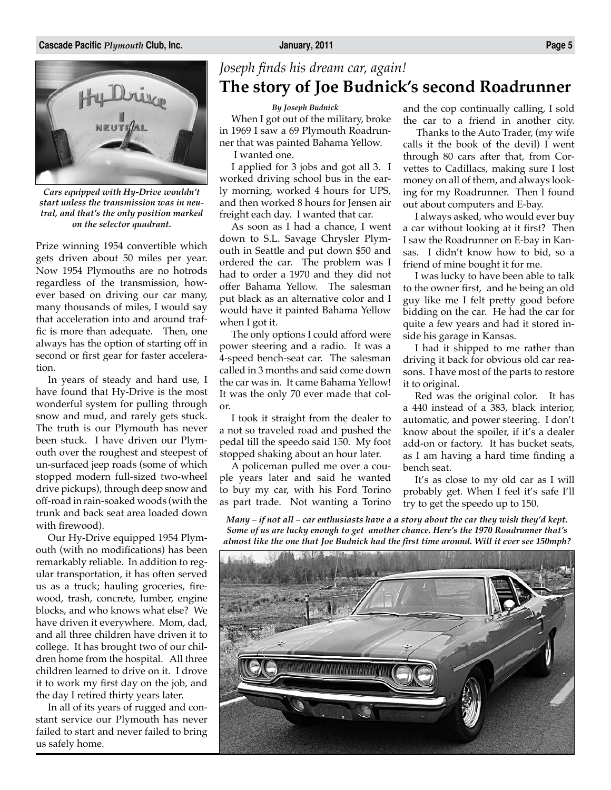

*Cars equipped with Hy-Drive wouldn't start unless the transmission was in neutral, and that's the only position marked on the selector quadrant.*

Prize winning 1954 convertible which gets driven about 50 miles per year. Now 1954 Plymouths are no hotrods regardless of the transmission, however based on driving our car many, many thousands of miles, I would say that acceleration into and around traffic is more than adequate. Then, one always has the option of starting off in second or first gear for faster acceleration.

In years of steady and hard use, I have found that Hy-Drive is the most wonderful system for pulling through snow and mud, and rarely gets stuck. The truth is our Plymouth has never been stuck. I have driven our Plymouth over the roughest and steepest of un-surfaced jeep roads (some of which stopped modern full-sized two-wheel drive pickups), through deep snow and off-road in rain-soaked woods (with the trunk and back seat area loaded down with firewood).

Our Hy-Drive equipped 1954 Plymouth (with no modifications) has been remarkably reliable. In addition to regular transportation, it has often served us as a truck; hauling groceries, firewood, trash, concrete, lumber, engine blocks, and who knows what else? We have driven it everywhere. Mom, dad, and all three children have driven it to college. It has brought two of our children home from the hospital. All three children learned to drive on it. I drove it to work my first day on the job, and the day I retired thirty years later.

In all of its years of rugged and constant service our Plymouth has never failed to start and never failed to bring us safely home.

### *Joseph finds his dream car, again!* **The story of Joe Budnick's second Roadrunner**

*By Joseph Budnick*

When I got out of the military, broke in 1969 I saw a 69 Plymouth Roadrunner that was painted Bahama Yellow.

I wanted one.

I applied for 3 jobs and got all 3. I worked driving school bus in the early morning, worked 4 hours for UPS, and then worked 8 hours for Jensen air freight each day. I wanted that car.

As soon as I had a chance, I went down to S.L. Savage Chrysler Plymouth in Seattle and put down \$50 and ordered the car. The problem was I had to order a 1970 and they did not offer Bahama Yellow. The salesman put black as an alternative color and I would have it painted Bahama Yellow when I got it.

The only options I could afford were power steering and a radio. It was a 4-speed bench-seat car. The salesman called in 3 months and said come down the car was in. It came Bahama Yellow! It was the only 70 ever made that color.

I took it straight from the dealer to a not so traveled road and pushed the pedal till the speedo said 150. My foot stopped shaking about an hour later.

A policeman pulled me over a couple years later and said he wanted to buy my car, with his Ford Torino as part trade. Not wanting a Torino

and the cop continually calling, I sold the car to a friend in another city.

 Thanks to the Auto Trader, (my wife calls it the book of the devil) I went through 80 cars after that, from Corvettes to Cadillacs, making sure I lost money on all of them, and always looking for my Roadrunner. Then I found out about computers and E-bay.

I always asked, who would ever buy a car without looking at it first? Then I saw the Roadrunner on E-bay in Kansas. I didn't know how to bid, so a friend of mine bought it for me.

I was lucky to have been able to talk to the owner first, and he being an old guy like me I felt pretty good before bidding on the car. He had the car for quite a few years and had it stored inside his garage in Kansas.

I had it shipped to me rather than driving it back for obvious old car reasons. I have most of the parts to restore it to original.

Red was the original color. It has a 440 instead of a 383, black interior, automatic, and power steering. I don't know about the spoiler, if it's a dealer add-on or factory. It has bucket seats, as I am having a hard time finding a bench seat.

It's as close to my old car as I will probably get. When I feel it's safe I'll try to get the speedo up to 150.

*Many – if not all – car enthusiasts have a a story about the car they wish they'd kept. Some of us are lucky enough to get another chance. Here's the 1970 Roadrunner that's almost like the one that Joe Budnick had the first time around. Will it ever see 150mph?*

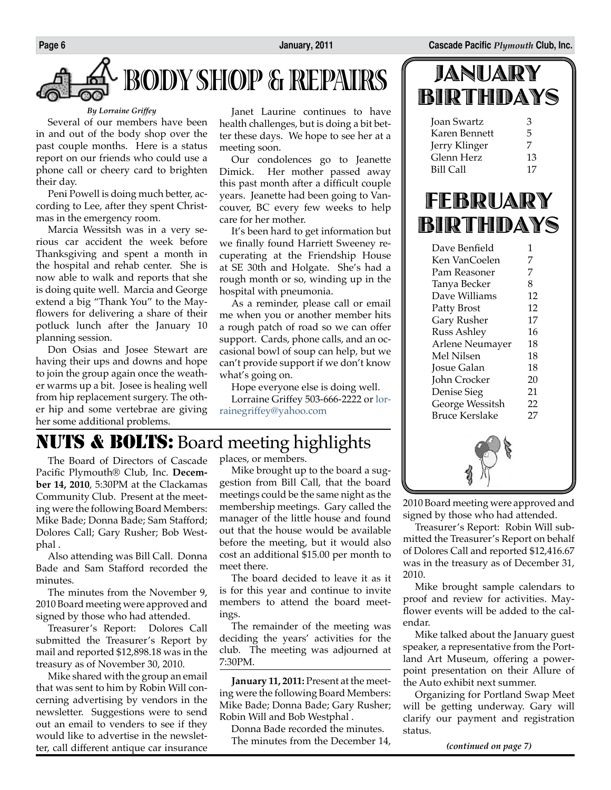# **BODY SHOP & REPAIRS**

#### *By Lorraine Griffey*

Several of our members have been in and out of the body shop over the past couple months. Here is a status report on our friends who could use a phone call or cheery card to brighten their day.

Peni Powell is doing much better, according to Lee, after they spent Christmas in the emergency room.

Marcia Wessitsh was in a very serious car accident the week before Thanksgiving and spent a month in the hospital and rehab center. She is now able to walk and reports that she is doing quite well. Marcia and George extend a big "Thank You" to the Mayflowers for delivering a share of their potluck lunch after the January 10 planning session.

Don Osias and Josee Stewart are having their ups and downs and hope to join the group again once the weather warms up a bit. Josee is healing well from hip replacement surgery. The other hip and some vertebrae are giving her some additional problems.

Janet Laurine continues to have health challenges, but is doing a bit better these days. We hope to see her at a meeting soon.

Our condolences go to Jeanette Dimick. Her mother passed away this past month after a difficult couple years. Jeanette had been going to Vancouver, BC every few weeks to help care for her mother.

It's been hard to get information but we finally found Harriett Sweeney recuperating at the Friendship House at SE 30th and Holgate. She's had a rough month or so, winding up in the hospital with pneumonia.

As a reminder, please call or email me when you or another member hits a rough patch of road so we can offer support. Cards, phone calls, and an occasional bowl of soup can help, but we can't provide support if we don't know what's going on.

Hope everyone else is doing well.

Lorraine Griffey 503-666-2222 or lorrainegriffey@yahoo.com

### NUTS & BOLTS: Board meeting highlights

The Board of Directors of Cascade Pacific Plymouth® Club, Inc. **December 14, 2010**, 5:30PM at the Clackamas Community Club. Present at the meeting were the following Board Members: Mike Bade; Donna Bade; Sam Stafford; Dolores Call; Gary Rusher; Bob Westphal .

Also attending was Bill Call. Donna Bade and Sam Stafford recorded the minutes.

The minutes from the November 9, 2010 Board meeting were approved and signed by those who had attended.

Treasurer's Report: Dolores Call submitted the Treasurer's Report by mail and reported \$12,898.18 was in the treasury as of November 30, 2010.

Mike shared with the group an email that was sent to him by Robin Will concerning advertising by vendors in the newsletter. Suggestions were to send out an email to venders to see if they would like to advertise in the newsletter, call different antique car insurance

places, or members.

Mike brought up to the board a suggestion from Bill Call, that the board meetings could be the same night as the membership meetings. Gary called the manager of the little house and found out that the house would be available before the meeting, but it would also cost an additional \$15.00 per month to meet there.

The board decided to leave it as it is for this year and continue to invite members to attend the board meetings.

The remainder of the meeting was deciding the years' activities for the club. The meeting was adjourned at 7:30PM.

**January 11, 2011:** Present at the meeting were the following Board Members: Mike Bade; Donna Bade; Gary Rusher; Robin Will and Bob Westphal .

Donna Bade recorded the minutes. The minutes from the December 14,

| JANUARY   |  |  |
|-----------|--|--|
| BIRTHDAYS |  |  |

| Joan Swartz   | 3  |
|---------------|----|
| Karen Bennett | 5  |
| Jerry Klinger | 7  |
| Glenn Herz    | 13 |
| Bill Call     | 17 |
|               |    |

## FEBRUARY BIRTHDAYS

| Dave Benfield      | 1  |  |
|--------------------|----|--|
| Ken VanCoelen      | 7  |  |
| Pam Reasoner       | 7  |  |
| Tanya Becker       | 8  |  |
| Dave Williams      | 12 |  |
| Patty Brost        | 12 |  |
| Gary Rusher        | 17 |  |
| <b>Russ Ashley</b> | 16 |  |
| Arlene Neumayer    | 18 |  |
| Mel Nilsen         | 18 |  |
| Josue Galan        | 18 |  |
| John Crocker       | 20 |  |
| Denise Sieg        | 21 |  |
| George Wessitsh    | 22 |  |
| Bruce Kerslake     | 27 |  |
|                    |    |  |

2010 Board meeting were approved and signed by those who had attended.

Treasurer's Report: Robin Will submitted the Treasurer's Report on behalf of Dolores Call and reported \$12,416.67 was in the treasury as of December 31, 2010.

Mike brought sample calendars to proof and review for activities. Mayflower events will be added to the calendar.

Mike talked about the January guest speaker, a representative from the Portland Art Museum, offering a powerpoint presentation on their Allure of the Auto exhibit next summer.

Organizing for Portland Swap Meet will be getting underway. Gary will clarify our payment and registration status.

*(continued on page 7)*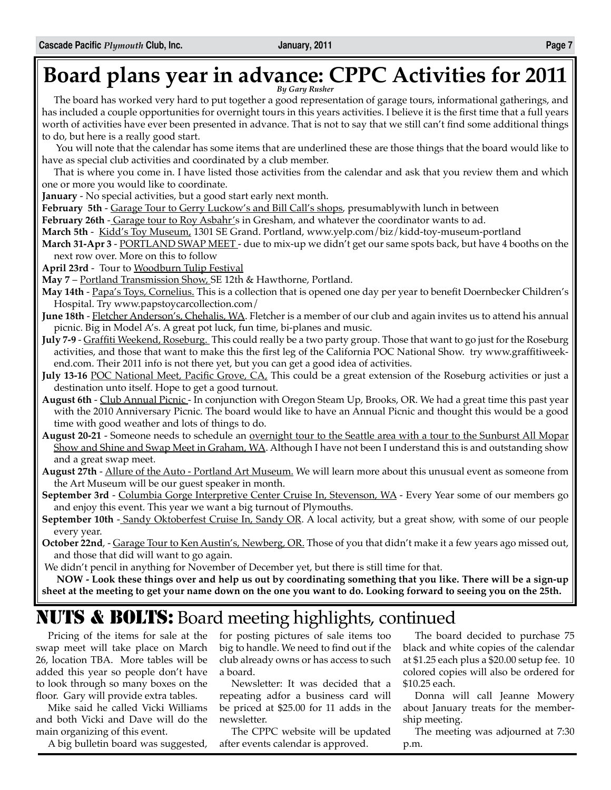## **Board plans year in advance: CPPC Activities for 2011** *By Gary Rusher*

The board has worked very hard to put together a good representation of garage tours, informational gatherings, and has included a couple opportunities for overnight tours in this years activities. I believe it is the first time that a full years worth of activities have ever been presented in advance. That is not to say that we still can't find some additional things to do, but here is a really good start.

 You will note that the calendar has some items that are underlined these are those things that the board would like to have as special club activities and coordinated by a club member.

That is where you come in. I have listed those activities from the calendar and ask that you review them and which one or more you would like to coordinate.

**January** - No special activities, but a good start early next month.

February 5th - Garage Tour to Gerry Luckow's and Bill Call's shops, presumablywith lunch in between

**February 26th** - Garage tour to Roy Asbahr's in Gresham, and whatever the coordinator wants to ad.

**March 5th** - Kidd's Toy Museum, 1301 SE Grand. Portland, www.yelp.com/biz/kidd-toy-museum-portland

**March 31-Apr 3** - <u>PORTLAND SWAP MEET</u> - due to mix-up we didn't get our same spots back, but have 4 booths on the next row over. More on this to follow

**April 23rd** - Tour to Woodburn Tulip Festival

**May 7** – Portland Transmission Show, SE 12th & Hawthorne, Portland.

- **May 14th** Papa's Toys, Cornelius. This is a collection that is opened one day per year to benefit Doernbecker Children's Hospital. Try www.papstoycarcollection.com/
- **June 18th** Fletcher Anderson's, Chehalis, WA. Fletcher is a member of our club and again invites us to attend his annual picnic. Big in Model A's. A great pot luck, fun time, bi-planes and music.
- **July 7-9** Graffiti Weekend, Roseburg. This could really be a two party group. Those that want to go just for the Roseburg activities, and those that want to make this the first leg of the California POC National Show. try www.graffitiweekend.com. Their 2011 info is not there yet, but you can get a good idea of activities.
- **July 13-16** POC National Meet, Pacific Grove, CA, This could be a great extension of the Roseburg activities or just a destination unto itself. Hope to get a good turnout.
- **August 6th** Club Annual Picnic In conjunction with Oregon Steam Up, Brooks, OR. We had a great time this past year with the 2010 Anniversary Picnic. The board would like to have an Annual Picnic and thought this would be a good time with good weather and lots of things to do.
- **August 20-21** Someone needs to schedule an overnight tour to the Seattle area with a tour to the Sunburst All Mopar Show and Shine and Swap Meet in Graham, WA. Although I have not been I understand this is and outstanding show and a great swap meet.
- **August 27th** Allure of the Auto Portland Art Museum. We will learn more about this unusual event as someone from the Art Museum will be our guest speaker in month.
- **September 3rd** Columbia Gorge Interpretive Center Cruise In, Stevenson, WA Every Year some of our members go and enjoy this event. This year we want a big turnout of Plymouths.
- **September 10th** Sandy Oktoberfest Cruise In, Sandy OR. A local activity, but a great show, with some of our people every year.
- **October 22nd**, Garage Tour to Ken Austin's, Newberg, OR. Those of you that didn't make it a few years ago missed out, and those that did will want to go again.

We didn't pencil in anything for November of December yet, but there is still time for that.

**NOW - Look these things over and help us out by coordinating something that you like. There will be a sign-up sheet at the meeting to get your name down on the one you want to do. Looking forward to seeing you on the 25th.**

### NUTS & BOLTS: Board meeting highlights, continued

Pricing of the items for sale at the swap meet will take place on March 26, location TBA. More tables will be added this year so people don't have to look through so many boxes on the floor. Gary will provide extra tables.

Mike said he called Vicki Williams and both Vicki and Dave will do the main organizing of this event.

A big bulletin board was suggested,

for posting pictures of sale items too big to handle. We need to find out if the club already owns or has access to such a board.

Newsletter: It was decided that a repeating adfor a business card will be priced at \$25.00 for 11 adds in the newsletter.

The CPPC website will be updated after events calendar is approved.

The board decided to purchase 75 black and white copies of the calendar at \$1.25 each plus a \$20.00 setup fee. 10 colored copies will also be ordered for \$10.25 each.

Donna will call Jeanne Mowery about January treats for the membership meeting.

The meeting was adjourned at 7:30 p.m.